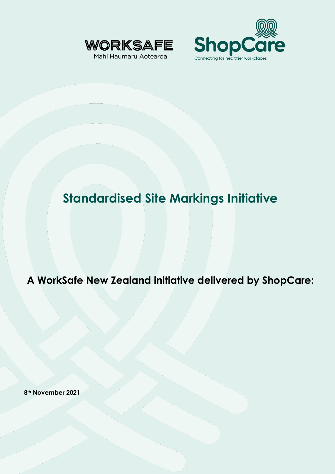



# **Standardised Site Markings Initiative**

**A WorkSafe New Zealand initiative delivered by ShopCare:**

**8th November 2021**